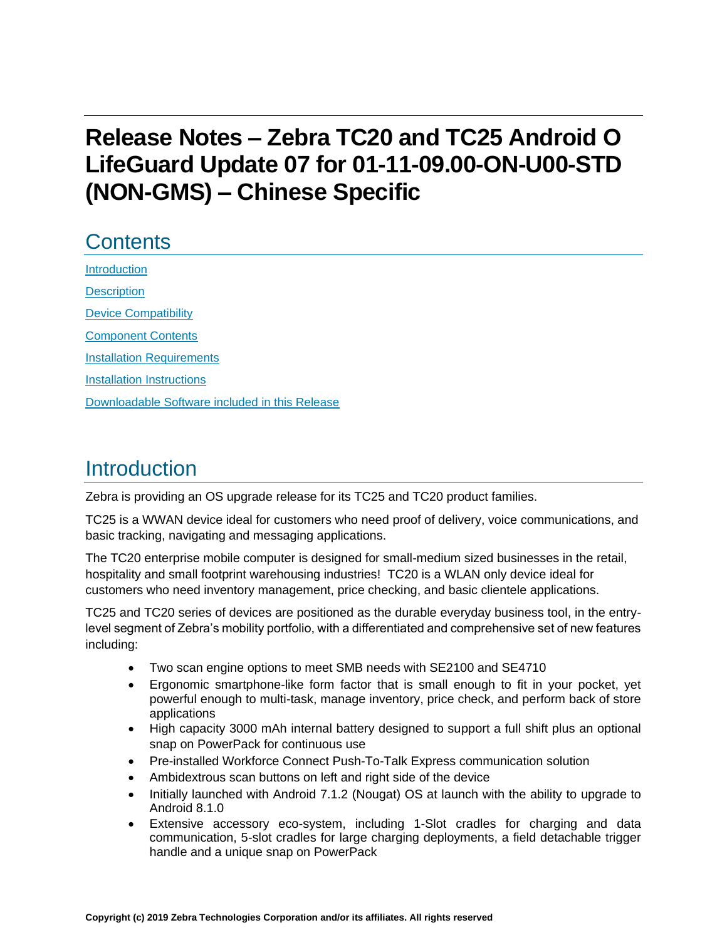# **Release Notes – Zebra TC20 and TC25 Android O LifeGuard Update 07 for 01-11-09.00-ON-U00-STD (NON-GMS) – Chinese Specific**

## **Contents**

[Introduction](#page-0-0) **[Description](#page-0-0)** [Device Compatibility](#page-3-0) [Component Contents](#page-3-1) [Installation Requirements](#page-5-0) [Installation Instructions](#page-5-1) [Downloadable Software included in this Release](#page-7-0) 

## <span id="page-0-0"></span>Introduction

Zebra is providing an OS upgrade release for its TC25 and TC20 product families.

TC25 is a WWAN device ideal for customers who need proof of delivery, voice communications, and basic tracking, navigating and messaging applications.

The TC20 enterprise mobile computer is designed for small-medium sized businesses in the retail, hospitality and small footprint warehousing industries! TC20 is a WLAN only device ideal for customers who need inventory management, price checking, and basic clientele applications.

TC25 and TC20 series of devices are positioned as the durable everyday business tool, in the entrylevel segment of Zebra's mobility portfolio, with a differentiated and comprehensive set of new features including:

- Two scan engine options to meet SMB needs with SE2100 and SE4710
- Ergonomic smartphone-like form factor that is small enough to fit in your pocket, yet powerful enough to multi-task, manage inventory, price check, and perform back of store applications
- High capacity 3000 mAh internal battery designed to support a full shift plus an optional snap on PowerPack for continuous use
- Pre-installed Workforce Connect Push-To-Talk Express communication solution
- Ambidextrous scan buttons on left and right side of the device
- Initially launched with Android 7.1.2 (Nougat) OS at launch with the ability to upgrade to Android 8.1.0
- Extensive accessory eco-system, including 1-Slot cradles for charging and data communication, 5-slot cradles for large charging deployments, a field detachable trigger handle and a unique snap on PowerPack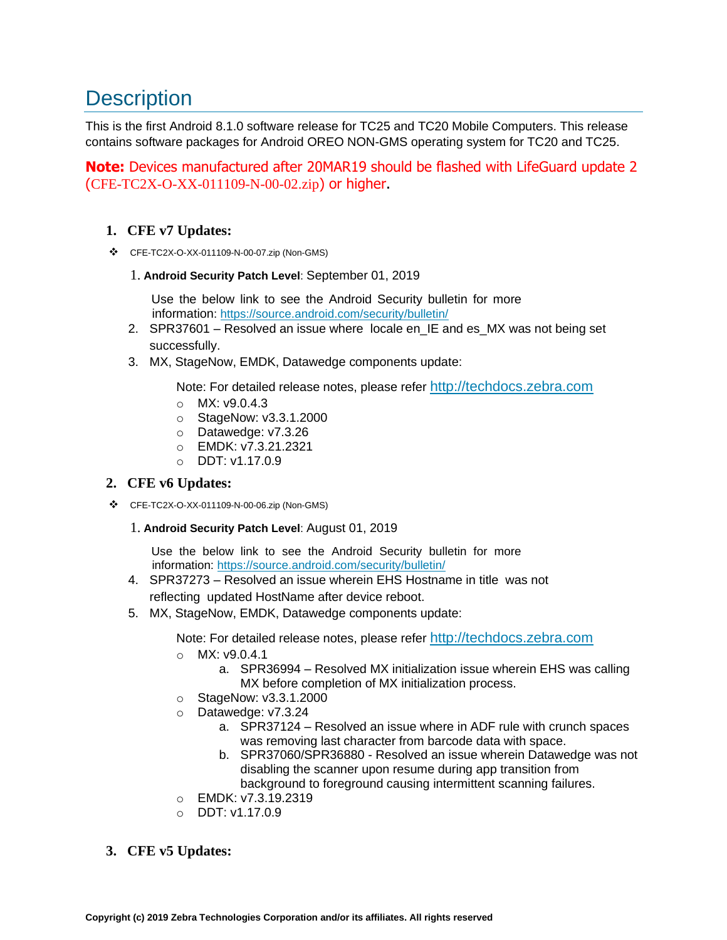## **Description**

This is the first Android 8.1.0 software release for TC25 and TC20 Mobile Computers. This release contains software packages for Android OREO NON-GMS operating system for TC20 and TC25.

**Note:** Devices manufactured after 20MAR19 should be flashed with LifeGuard update 2 (CFE-TC2X-O-XX-011109-N-00-02.zip) or higher.

### **1. CFE v7 Updates:**

❖ CFE-TC2X-O-XX-011109-N-00-07.zip (Non-GMS)

#### 1. **Android Security Patch Level**: September 01, 2019

Use the below link to see the Android Security bulletin for more information:<https://source.android.com/security/bulletin/>

- 2. SPR37601 Resolved an issue where locale en\_IE and es\_MX was not being set successfully.
- 3. MX, StageNow, EMDK, Datawedge components update:

Note: For detailed release notes, please refer [http://techdocs.zebra.com](http://techdocs.zebra.com/)

- o MX: v9.0.4.3
- o StageNow: v3.3.1.2000
- o Datawedge: v7.3.26
- o EMDK: v7.3.21.2321
- o DDT: v1.17.0.9

### **2. CFE v6 Updates:**

❖ CFE-TC2X-O-XX-011109-N-00-06.zip (Non-GMS)

#### 1. **Android Security Patch Level**: August 01, 2019

Use the below link to see the Android Security bulletin for more information:<https://source.android.com/security/bulletin/>

- 4. SPR37273 Resolved an issue wherein EHS Hostname in title was not reflecting updated HostName after device reboot.
- 5. MX, StageNow, EMDK, Datawedge components update:

Note: For detailed release notes, please refer [http://techdocs.zebra.com](http://techdocs.zebra.com/)

- o MX: v9.0.4.1
	- a. SPR36994 Resolved MX initialization issue wherein EHS was calling MX before completion of MX initialization process.
- o StageNow: v3.3.1.2000
- o Datawedge: v7.3.24
	- a. SPR37124 Resolved an issue where in ADF rule with crunch spaces was removing last character from barcode data with space.
	- b. SPR37060/SPR36880 Resolved an issue wherein Datawedge was not disabling the scanner upon resume during app transition from background to foreground causing intermittent scanning failures.
- o EMDK: v7.3.19.2319
- $O$  DDT: v1.17.0.9

### **3. CFE v5 Updates:**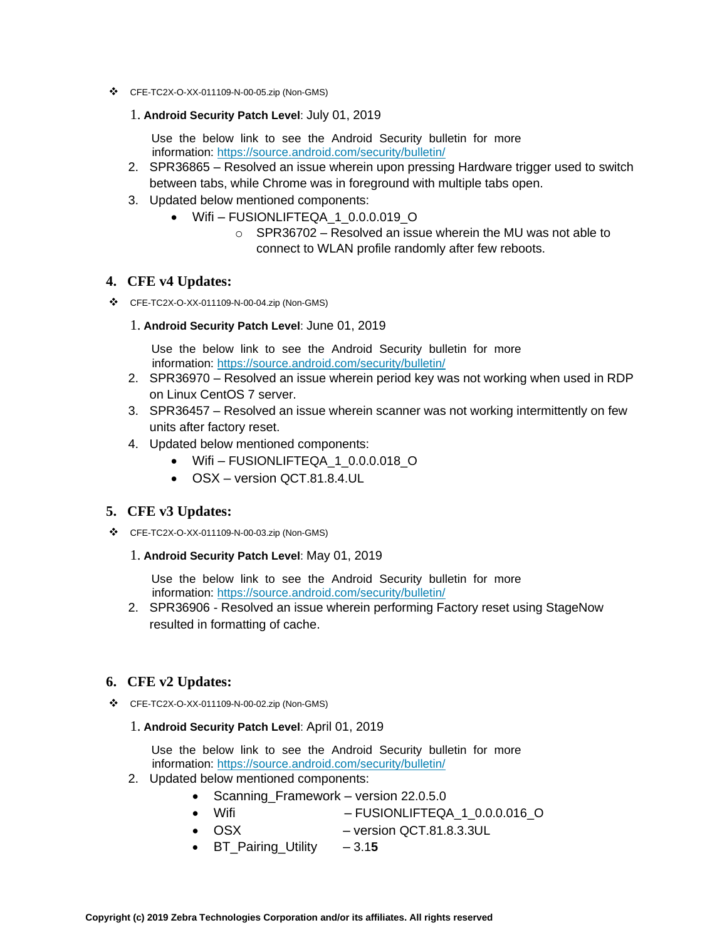- ❖ CFE-TC2X-O-XX-011109-N-00-05.zip (Non-GMS)
	- 1. **Android Security Patch Level**: July 01, 2019

Use the below link to see the Android Security bulletin for more information:<https://source.android.com/security/bulletin/>

- 2. SPR36865 Resolved an issue wherein upon pressing Hardware trigger used to switch between tabs, while Chrome was in foreground with multiple tabs open.
- 3. Updated below mentioned components:
	- Wifi FUSIONLIFTEQA 1 0.0.0.019 O
		- $\circ$  SPR36702 Resolved an issue wherein the MU was not able to connect to WLAN profile randomly after few reboots.

#### **4. CFE v4 Updates:**

- ❖ CFE-TC2X-O-XX-011109-N-00-04.zip (Non-GMS)
	- 1. **Android Security Patch Level**: June 01, 2019

Use the below link to see the Android Security bulletin for more information:<https://source.android.com/security/bulletin/>

- 2. SPR36970 Resolved an issue wherein period key was not working when used in RDP on Linux CentOS 7 server.
- 3. SPR36457 Resolved an issue wherein scanner was not working intermittently on few units after factory reset.
- 4. Updated below mentioned components:
	- Wifi-FUSIONLIFTEQA 1 0.0.0.018 O
	- OSX version QCT.81.8.4.UL

#### **5. CFE v3 Updates:**

- ❖ CFE-TC2X-O-XX-011109-N-00-03.zip (Non-GMS)
	- 1. **Android Security Patch Level**: May 01, 2019

Use the below link to see the Android Security bulletin for more information:<https://source.android.com/security/bulletin/>

2. SPR36906 - Resolved an issue wherein performing Factory reset using StageNow resulted in formatting of cache.

#### **6. CFE v2 Updates:**

- ❖ CFE-TC2X-O-XX-011109-N-00-02.zip (Non-GMS)
	- 1. **Android Security Patch Level**: April 01, 2019

Use the below link to see the Android Security bulletin for more information:<https://source.android.com/security/bulletin/>

- 2. Updated below mentioned components:
	- Scanning\_Framework version 22.0.5.0
	- Wifi FUSIONLIFTEQA\_1\_0.0.0.016\_O
	- OSX version QCT.81.8.3.3UL
	- BT\_Pairing\_Utility 3.1**5**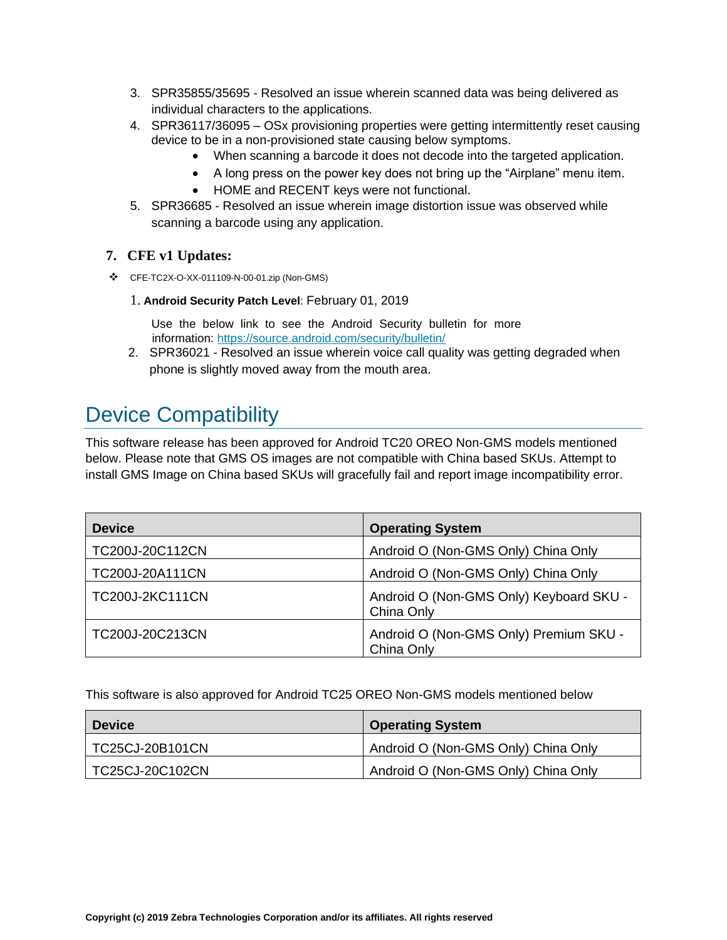- 3. SPR35855/35695 Resolved an issue wherein scanned data was being delivered as individual characters to the applications.
- 4. SPR36117/36095 OSx provisioning properties were getting intermittently reset causing device to be in a non-provisioned state causing below symptoms.
	- When scanning a barcode it does not decode into [the](https://confluence.zebra.com/pages/createpage.action?spaceKey=LIF&title=customer+apps+or+DWDEMO) targeted application.
	- A long press on the power key does not bring up the "Airplane" menu item.
	- HOME and RECENT keys were not functional.
- 5. SPR36685 Resolved an issue wherein image distortion issue was observed while scanning a barcode using any application.

### **7. CFE v1 Updates:**

- ❖ CFE-TC2X-O-XX-011109-N-00-01.zip (Non-GMS)
	- 1. **Android Security Patch Level**: February 01, 2019

Use the below link to see the Android Security bulletin for more information:<https://source.android.com/security/bulletin/>

2. SPR36021 - Resolved an issue wherein voice call quality was getting degraded when phone is slightly moved away from the mouth area.

## <span id="page-3-0"></span>Device Compatibility

This software release has been approved for Android TC20 OREO Non-GMS models mentioned below. Please note that GMS OS images are not compatible with China based SKUs. Attempt to install GMS Image on China based SKUs will gracefully fail and report image incompatibility error.

| <b>Device</b>          | <b>Operating System</b>                               |
|------------------------|-------------------------------------------------------|
| TC200J-20C112CN        | Android O (Non-GMS Only) China Only                   |
| TC200J-20A111CN        | Android O (Non-GMS Only) China Only                   |
| <b>TC200J-2KC111CN</b> | Android O (Non-GMS Only) Keyboard SKU -<br>China Only |
| TC200J-20C213CN        | Android O (Non-GMS Only) Premium SKU -<br>China Only  |

<span id="page-3-1"></span>This software is also approved for Android TC25 OREO Non-GMS models mentioned below

| <b>Device</b>   | <b>Operating System</b>             |
|-----------------|-------------------------------------|
| TC25CJ-20B101CN | Android O (Non-GMS Only) China Only |
| TC25CJ-20C102CN | Android O (Non-GMS Only) China Only |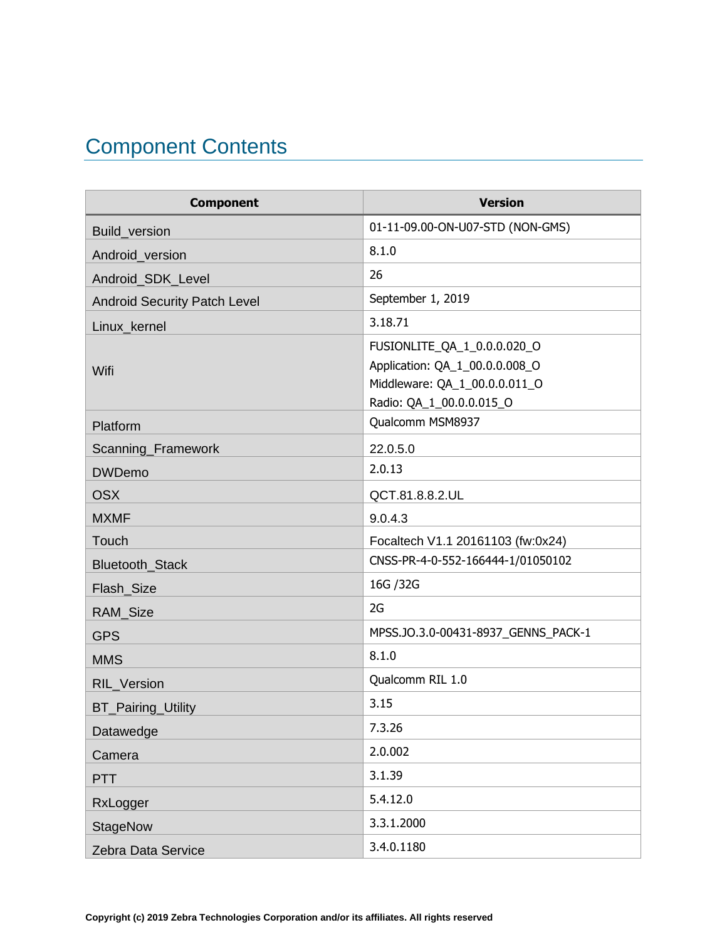# Component Contents

| <b>Component</b>                    | <b>Version</b>                                                                                                             |
|-------------------------------------|----------------------------------------------------------------------------------------------------------------------------|
| Build_version                       | 01-11-09.00-ON-U07-STD (NON-GMS)                                                                                           |
| Android_version                     | 8.1.0                                                                                                                      |
| Android_SDK_Level                   | 26                                                                                                                         |
| <b>Android Security Patch Level</b> | September 1, 2019                                                                                                          |
| Linux_kernel                        | 3.18.71                                                                                                                    |
| Wifi                                | FUSIONLITE_QA_1_0.0.0.020_O<br>Application: QA_1_00.0.0.008_O<br>Middleware: QA_1_00.0.0.011_O<br>Radio: QA_1_00.0.0.015_O |
| Platform                            | Qualcomm MSM8937                                                                                                           |
| Scanning_Framework                  | 22.0.5.0                                                                                                                   |
| <b>DWDemo</b>                       | 2.0.13                                                                                                                     |
| <b>OSX</b>                          | QCT.81.8.8.2.UL                                                                                                            |
| <b>MXMF</b>                         | 9.0.4.3                                                                                                                    |
| Touch                               | Focaltech V1.1 20161103 (fw:0x24)                                                                                          |
| Bluetooth_Stack                     | CNSS-PR-4-0-552-166444-1/01050102                                                                                          |
| Flash_Size                          | 16G / 32G                                                                                                                  |
| RAM_Size                            | 2G                                                                                                                         |
| <b>GPS</b>                          | MPSS.JO.3.0-00431-8937_GENNS_PACK-1                                                                                        |
| <b>MMS</b>                          | 8.1.0                                                                                                                      |
| RIL_Version                         | Qualcomm RIL 1.0                                                                                                           |
| <b>BT_Pairing_Utility</b>           | 3.15                                                                                                                       |
| Datawedge                           | 7.3.26                                                                                                                     |
| Camera                              | 2.0.002                                                                                                                    |
| <b>PTT</b>                          | 3.1.39                                                                                                                     |
| RxLogger                            | 5.4.12.0                                                                                                                   |
| <b>StageNow</b>                     | 3.3.1.2000                                                                                                                 |
| Zebra Data Service                  | 3.4.0.1180                                                                                                                 |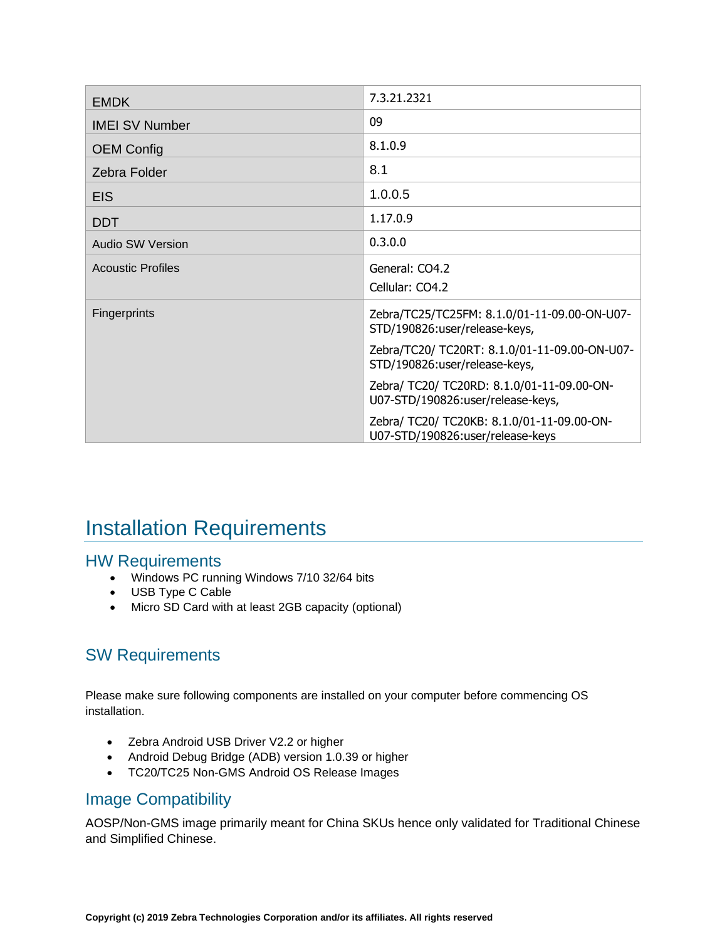| <b>EMDK</b>              | 7.3.21.2321                                                                     |
|--------------------------|---------------------------------------------------------------------------------|
| <b>IMEI SV Number</b>    | 09                                                                              |
| <b>OEM Config</b>        | 8.1.0.9                                                                         |
| Zebra Folder             | 8.1                                                                             |
| <b>EIS</b>               | 1.0.0.5                                                                         |
| <b>DDT</b>               | 1.17.0.9                                                                        |
| <b>Audio SW Version</b>  | 0.3.0.0                                                                         |
| <b>Acoustic Profiles</b> | General: CO4.2<br>Cellular: CO4.2                                               |
| <b>Fingerprints</b>      | Zebra/TC25/TC25FM: 8.1.0/01-11-09.00-ON-U07-<br>STD/190826:user/release-keys,   |
|                          | Zebra/TC20/ TC20RT: 8.1.0/01-11-09.00-ON-U07-<br>STD/190826:user/release-keys,  |
|                          | Zebra/ TC20/ TC20RD: 8.1.0/01-11-09.00-ON-<br>U07-STD/190826:user/release-keys, |
|                          | Zebra/ TC20/ TC20KB: 8.1.0/01-11-09.00-ON-<br>U07-STD/190826:user/release-keys  |

## <span id="page-5-0"></span>Installation Requirements

### HW Requirements

- Windows PC running Windows 7/10 32/64 bits
- USB Type C Cable
- Micro SD Card with at least 2GB capacity (optional)

### SW Requirements

Please make sure following components are installed on your computer before commencing OS installation.

- Zebra Android USB Driver V2.2 or higher
- Android Debug Bridge (ADB) version 1.0.39 or higher
- TC20/TC25 Non-GMS Android OS Release Images

### Image Compatibility

<span id="page-5-1"></span>AOSP/Non-GMS image primarily meant for China SKUs hence only validated for Traditional Chinese and Simplified Chinese.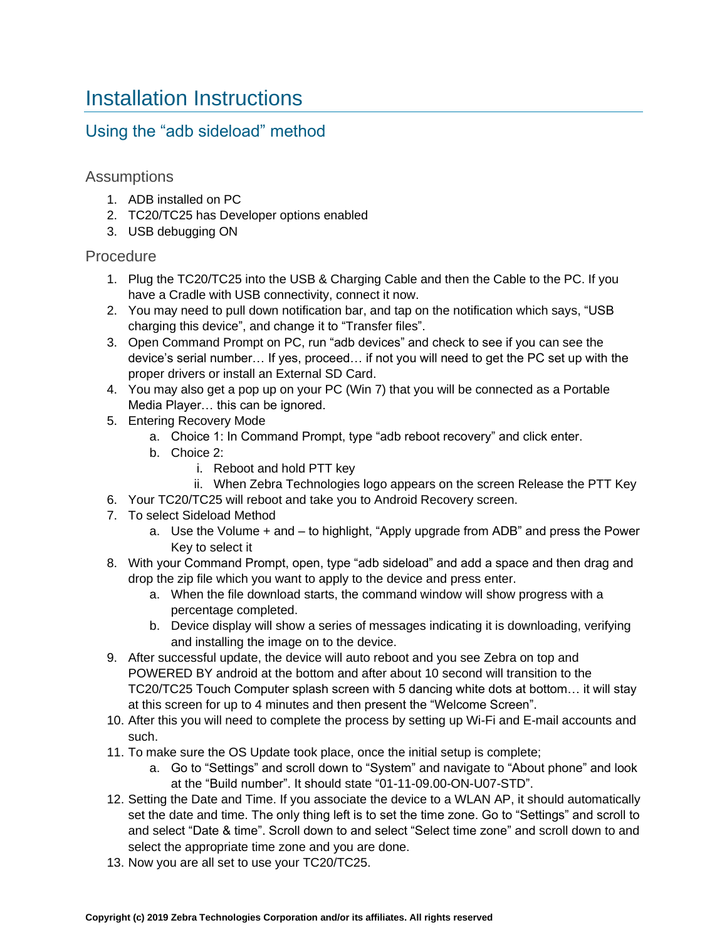## Installation Instructions

### Using the "adb sideload" method

### Assumptions

- 1. ADB installed on PC
- 2. TC20/TC25 has Developer options enabled
- 3. USB debugging ON

### Procedure

- 1. Plug the TC20/TC25 into the USB & Charging Cable and then the Cable to the PC. If you have a Cradle with USB connectivity, connect it now.
- 2. You may need to pull down notification bar, and tap on the notification which says, "USB charging this device", and change it to "Transfer files".
- 3. Open Command Prompt on PC, run "adb devices" and check to see if you can see the device's serial number… If yes, proceed… if not you will need to get the PC set up with the proper drivers or install an External SD Card.
- 4. You may also get a pop up on your PC (Win 7) that you will be connected as a Portable Media Player… this can be ignored.
- 5. Entering Recovery Mode
	- a. Choice 1: In Command Prompt, type "adb reboot recovery" and click enter.
	- b. Choice 2:
		- i. Reboot and hold PTT key
		- ii. When Zebra Technologies logo appears on the screen Release the PTT Key
- 6. Your TC20/TC25 will reboot and take you to Android Recovery screen.
- 7. To select Sideload Method
	- a. Use the Volume + and to highlight, "Apply upgrade from ADB" and press the Power Key to select it
- 8. With your Command Prompt, open, type "adb sideload" and add a space and then drag and drop the zip file which you want to apply to the device and press enter.
	- a. When the file download starts, the command window will show progress with a percentage completed.
	- b. Device display will show a series of messages indicating it is downloading, verifying and installing the image on to the device.
- 9. After successful update, the device will auto reboot and you see Zebra on top and POWERED BY android at the bottom and after about 10 second will transition to the TC20/TC25 Touch Computer splash screen with 5 dancing white dots at bottom… it will stay at this screen for up to 4 minutes and then present the "Welcome Screen".
- 10. After this you will need to complete the process by setting up Wi-Fi and E-mail accounts and such.
- 11. To make sure the OS Update took place, once the initial setup is complete;
	- a. Go to "Settings" and scroll down to "System" and navigate to "About phone" and look at the "Build number". It should state "01-11-09.00-ON-U07-STD".
- 12. Setting the Date and Time. If you associate the device to a WLAN AP, it should automatically set the date and time. The only thing left is to set the time zone. Go to "Settings" and scroll to and select "Date & time". Scroll down to and select "Select time zone" and scroll down to and select the appropriate time zone and you are done.
- 13. Now you are all set to use your TC20/TC25.